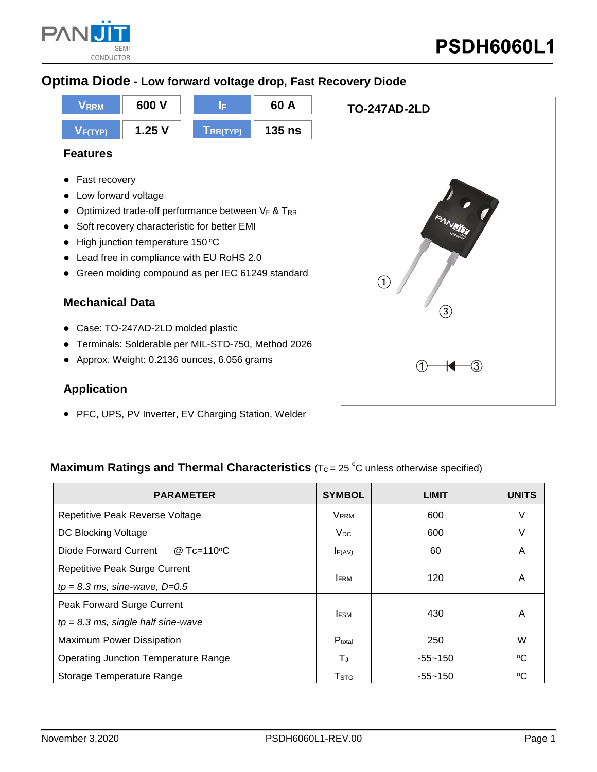

**TO-247AD-2LD**

 $\circled{3}$ 

### **Optima Diode - Low forward voltage drop, Fast Recovery Diode**



#### **Features**

- **•** Fast recovery
- Low forward voltage
- $\bullet$  Optimized trade-off performance between VF & TRR
- Soft recovery characteristic for better EMI
- $\bullet$  High junction temperature 150 °C
- Lead free in compliance with EU RoHS 2.0
- Green molding compound as per IEC 61249 standard

#### **Mechanical Data**

- Case: TO-247AD-2LD molded plastic
- Terminals: Solderable per MIL-STD-750, Method 2026
- Approx. Weight: 0.2136 ounces, 6.056 grams

#### **Application**

• PFC, UPS, PV Inverter, EV Charging Station, Welder

#### **Maximum Ratings and Thermal Characteristics** ( $T_c = 25$  °C unless otherwise specified)

| <b>PARAMETER</b>                            | <b>SYMBOL</b>           | <b>LIMIT</b> | <b>UNITS</b> |
|---------------------------------------------|-------------------------|--------------|--------------|
| Repetitive Peak Reverse Voltage             | <b>VRRM</b>             | 600          | V            |
| DC Blocking Voltage                         | $V_{DC}$                | 600          | v            |
| Diode Forward Current<br>@ Tc=110°C         | $I_{F(AV)}$             | 60           | A            |
| <b>Repetitive Peak Surge Current</b>        |                         |              | A            |
| $tp = 8.3$ ms, sine-wave, $D=0.5$           | <b>IFRM</b>             | 120          |              |
| Peak Forward Surge Current                  |                         |              | A            |
| $tp = 8.3$ ms, single half sine-wave        | <b>IFSM</b>             | 430          |              |
| <b>Maximum Power Dissipation</b>            | Ptotal                  | 250          | W            |
| <b>Operating Junction Temperature Range</b> | ТJ                      | -55~150      | °C           |
| Storage Temperature Range                   | <b>T</b> <sub>STG</sub> | $-55 - 150$  | °C           |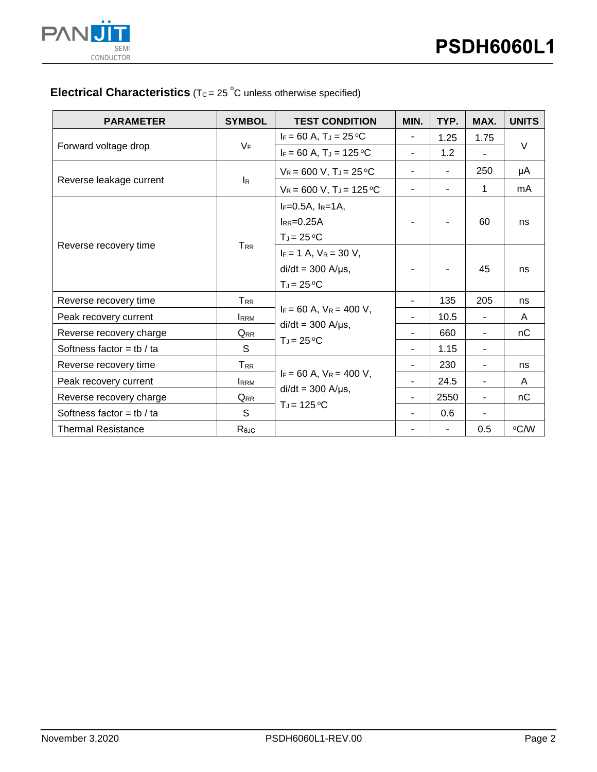

## **Electrical Characteristics** ( $T_c = 25$ °C unless otherwise specified)

| <b>PARAMETER</b>          | <b>SYMBOL</b>             | <b>TEST CONDITION</b>                                     | MIN.                     | TYP.                     | MAX.           | <b>UNITS</b> |  |
|---------------------------|---------------------------|-----------------------------------------------------------|--------------------------|--------------------------|----------------|--------------|--|
| Forward voltage drop      | $V_F$                     | $I_F = 60 A$ , $T_J = 25 \degree C$                       | $\overline{\phantom{a}}$ | 1.25                     | 1.75           | $\vee$       |  |
|                           |                           | $I_F = 60 A$ , $T_J = 125 °C$                             | $\blacksquare$           | 1.2                      |                |              |  |
| Reverse leakage current   | $\mathsf{I}_{\mathsf{R}}$ | $V_R = 600 V$ , $T_J = 25 °C$                             |                          | ٠                        | 250            | μA           |  |
|                           |                           | $V_R = 600 V$ , $T_J = 125 °C$                            | $\blacksquare$           |                          | 1              | mA           |  |
| Reverse recovery time     |                           | $I_F = 0.5A$ , $I_R = 1A$ ,<br>$l_{RR}=0.25A$             |                          |                          | 60             | ns           |  |
|                           | $T_{RR}$                  | $T_J = 25 °C$                                             |                          |                          |                |              |  |
|                           |                           | $I_F = 1$ A, $V_R = 30$ V,                                |                          |                          |                |              |  |
|                           |                           | $di/dt = 300$ A/ $\mu$ s,                                 |                          |                          | 45             | ns           |  |
|                           |                           | $T_J = 25 °C$                                             |                          |                          |                |              |  |
| Reverse recovery time     | TRR                       |                                                           |                          | 135                      | 205            | ns           |  |
| Peak recovery current     | <b>IRRM</b>               | $I_F = 60$ A, $V_R = 400$ V,                              |                          | 10.5                     |                | A            |  |
| Reverse recovery charge   | Q <sub>RR</sub>           | $di/dt = 300$ A/ $\mu$ s,                                 |                          | 660                      |                | nC           |  |
| Softness factor = tb / ta | S                         | $T_J = 25 °C$                                             | $\blacksquare$           | 1.15                     | $\blacksquare$ |              |  |
| Reverse recovery time     | ${\sf T}_{\sf RR}$        | $I_F = 60$ A, $V_R = 400$ V,<br>$di/dt = 300$ A/ $\mu$ s, |                          | 230                      | ٠              | ns           |  |
| Peak recovery current     | <b>IRRM</b>               |                                                           | $\overline{\phantom{a}}$ | 24.5                     |                | A            |  |
| Reverse recovery charge   | Q <sub>RR</sub>           |                                                           |                          | 2550                     |                | nC           |  |
| Softness factor = tb / ta | S                         | $T_J = 125$ °C                                            |                          | 0.6                      |                |              |  |
| <b>Thermal Resistance</b> | Rejc                      |                                                           |                          | $\overline{\phantom{a}}$ | 0.5            | °C/W         |  |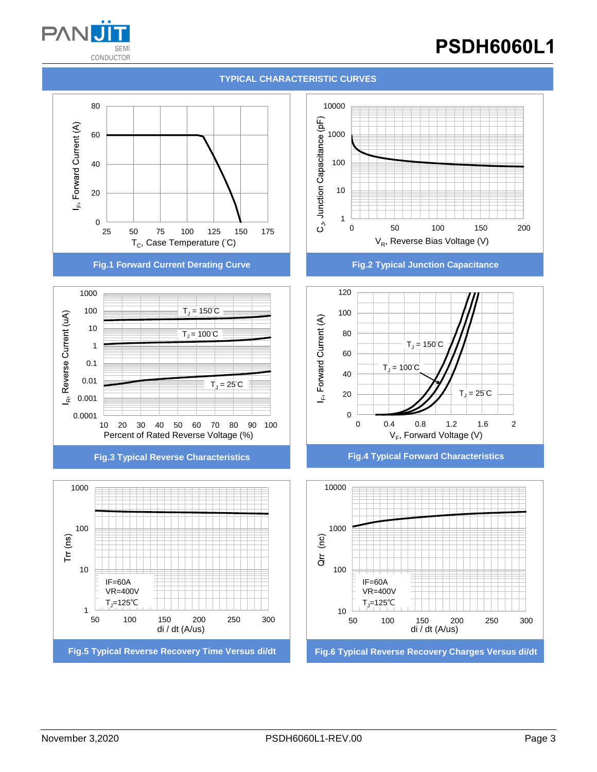

# **PSDH6060L1**





**Fig.1 Forward Current Derating Curve Fig.2 Typical Junction Capacitance**









**Fig.3 Typical Reverse Characteristics Fig.4 Typical Forward Characteristics**

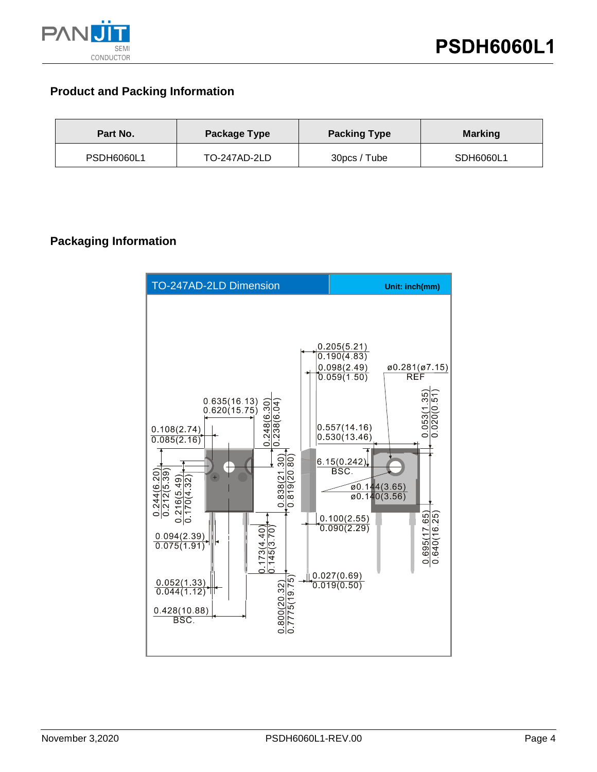

### **Product and Packing Information**

| Part No.          | Package Type | <b>Packing Type</b><br><b>Marking</b> |           |
|-------------------|--------------|---------------------------------------|-----------|
| <b>PSDH6060L1</b> | TO-247AD-2LD | 30pcs / Tube                          | SDH6060L1 |

### **Packaging Information**